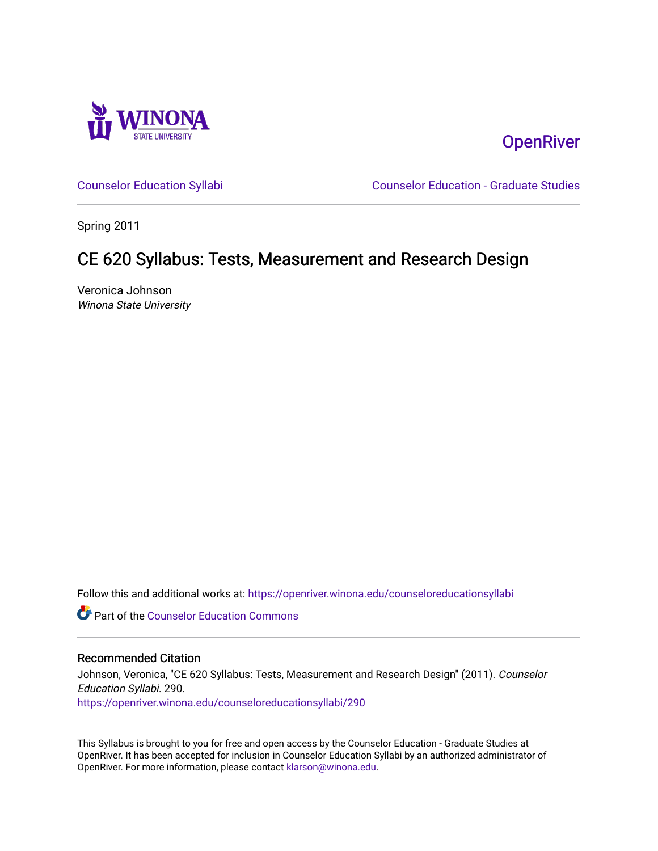

**OpenRiver** 

[Counselor Education Syllabi](https://openriver.winona.edu/counseloreducationsyllabi) [Counselor Education - Graduate Studies](https://openriver.winona.edu/counseloreducation) 

Spring 2011

# CE 620 Syllabus: Tests, Measurement and Research Design

Veronica Johnson Winona State University

Follow this and additional works at: [https://openriver.winona.edu/counseloreducationsyllabi](https://openriver.winona.edu/counseloreducationsyllabi?utm_source=openriver.winona.edu%2Fcounseloreducationsyllabi%2F290&utm_medium=PDF&utm_campaign=PDFCoverPages)

Part of the [Counselor Education Commons](http://network.bepress.com/hgg/discipline/1278?utm_source=openriver.winona.edu%2Fcounseloreducationsyllabi%2F290&utm_medium=PDF&utm_campaign=PDFCoverPages) 

### Recommended Citation

Johnson, Veronica, "CE 620 Syllabus: Tests, Measurement and Research Design" (2011). Counselor Education Syllabi. 290. [https://openriver.winona.edu/counseloreducationsyllabi/290](https://openriver.winona.edu/counseloreducationsyllabi/290?utm_source=openriver.winona.edu%2Fcounseloreducationsyllabi%2F290&utm_medium=PDF&utm_campaign=PDFCoverPages)

This Syllabus is brought to you for free and open access by the Counselor Education - Graduate Studies at OpenRiver. It has been accepted for inclusion in Counselor Education Syllabi by an authorized administrator of OpenRiver. For more information, please contact [klarson@winona.edu](mailto:klarson@winona.edu).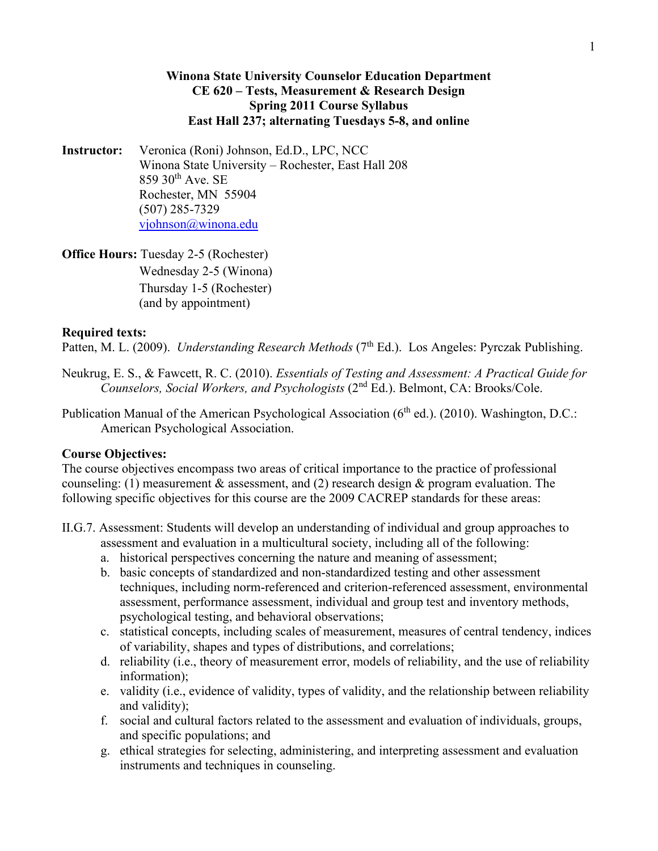## **Winona State University Counselor Education Department CE 620 – Tests, Measurement & Research Design Spring 2011 Course Syllabus East Hall 237; alternating Tuesdays 5-8, and online**

**Instructor:** Veronica (Roni) Johnson, Ed.D., LPC, NCC Winona State University – Rochester, East Hall 208  $859$  30<sup>th</sup> Ave. SE Rochester, MN 55904 (507) 285-7329 [vjohnson@winona.edu](mailto:vjohnson@winona.edu)

**Office Hours: Tuesday 2-5 (Rochester)** Wednesday 2-5 (Winona) Thursday 1-5 (Rochester) (and by appointment)

### **Required texts:**

Patten, M. L. (2009). *Understanding Research Methods* (7<sup>th</sup> Ed.). Los Angeles: Pyrczak Publishing.

- Neukrug, E. S., & Fawcett, R. C. (2010). *Essentials of Testing and Assessment: A Practical Guide for Counselors, Social Workers, and Psychologists* (2nd Ed.). Belmont, CA: Brooks/Cole.
- Publication Manual of the American Psychological Association (6<sup>th</sup> ed.). (2010). Washington, D.C.: American Psychological Association.

#### **Course Objectives:**

The course objectives encompass two areas of critical importance to the practice of professional counseling: (1) measurement & assessment, and (2) research design & program evaluation. The following specific objectives for this course are the 2009 CACREP standards for these areas:

- II.G.7. Assessment: Students will develop an understanding of individual and group approaches to assessment and evaluation in a multicultural society, including all of the following:
	- a. historical perspectives concerning the nature and meaning of assessment;
	- b. basic concepts of standardized and non-standardized testing and other assessment techniques, including norm-referenced and criterion-referenced assessment, environmental assessment, performance assessment, individual and group test and inventory methods, psychological testing, and behavioral observations;
	- c. statistical concepts, including scales of measurement, measures of central tendency, indices of variability, shapes and types of distributions, and correlations;
	- d. reliability (i.e., theory of measurement error, models of reliability, and the use of reliability information);
	- e. validity (i.e., evidence of validity, types of validity, and the relationship between reliability and validity);
	- f. social and cultural factors related to the assessment and evaluation of individuals, groups, and specific populations; and
	- g. ethical strategies for selecting, administering, and interpreting assessment and evaluation instruments and techniques in counseling.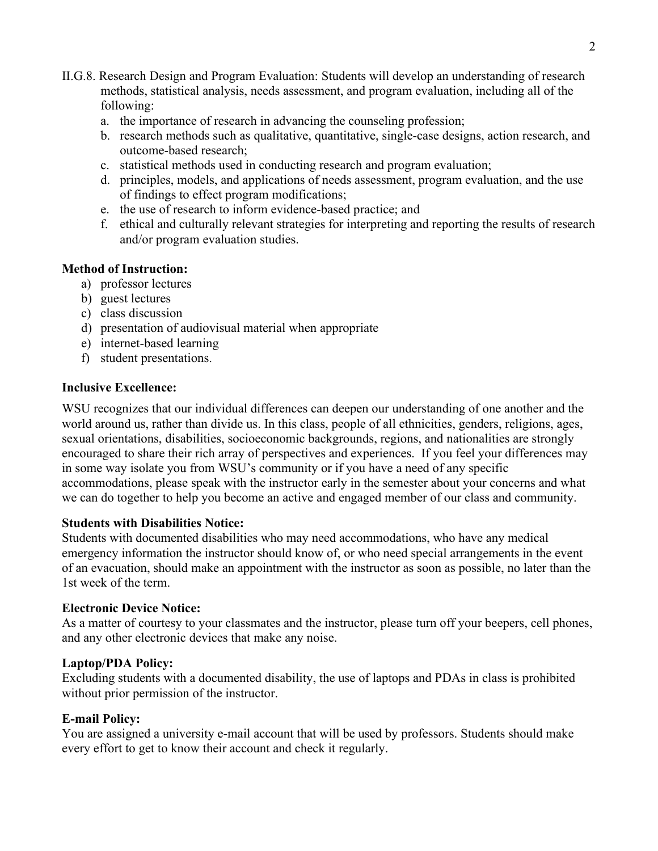- II.G.8. Research Design and Program Evaluation: Students will develop an understanding of research methods, statistical analysis, needs assessment, and program evaluation, including all of the following:
	- a. the importance of research in advancing the counseling profession;
	- b. research methods such as qualitative, quantitative, single-case designs, action research, and outcome-based research;
	- c. statistical methods used in conducting research and program evaluation;
	- d. principles, models, and applications of needs assessment, program evaluation, and the use of findings to effect program modifications;
	- e. the use of research to inform evidence-based practice; and
	- f. ethical and culturally relevant strategies for interpreting and reporting the results of research and/or program evaluation studies.

## **Method of Instruction:**

- a) professor lectures
- b) guest lectures
- c) class discussion
- d) presentation of audiovisual material when appropriate
- e) internet-based learning
- f) student presentations.

## **Inclusive Excellence:**

WSU recognizes that our individual differences can deepen our understanding of one another and the world around us, rather than divide us. In this class, people of all ethnicities, genders, religions, ages, sexual orientations, disabilities, socioeconomic backgrounds, regions, and nationalities are strongly encouraged to share their rich array of perspectives and experiences. If you feel your differences may in some way isolate you from WSU's community or if you have a need of any specific accommodations, please speak with the instructor early in the semester about your concerns and what we can do together to help you become an active and engaged member of our class and community.

## **Students with Disabilities Notice:**

Students with documented disabilities who may need accommodations, who have any medical emergency information the instructor should know of, or who need special arrangements in the event of an evacuation, should make an appointment with the instructor as soon as possible, no later than the 1st week of the term.

## **Electronic Device Notice:**

As a matter of courtesy to your classmates and the instructor, please turn off your beepers, cell phones, and any other electronic devices that make any noise.

## **Laptop/PDA Policy:**

Excluding students with a documented disability, the use of laptops and PDAs in class is prohibited without prior permission of the instructor.

## **E-mail Policy:**

You are assigned a university e-mail account that will be used by professors. Students should make every effort to get to know their account and check it regularly.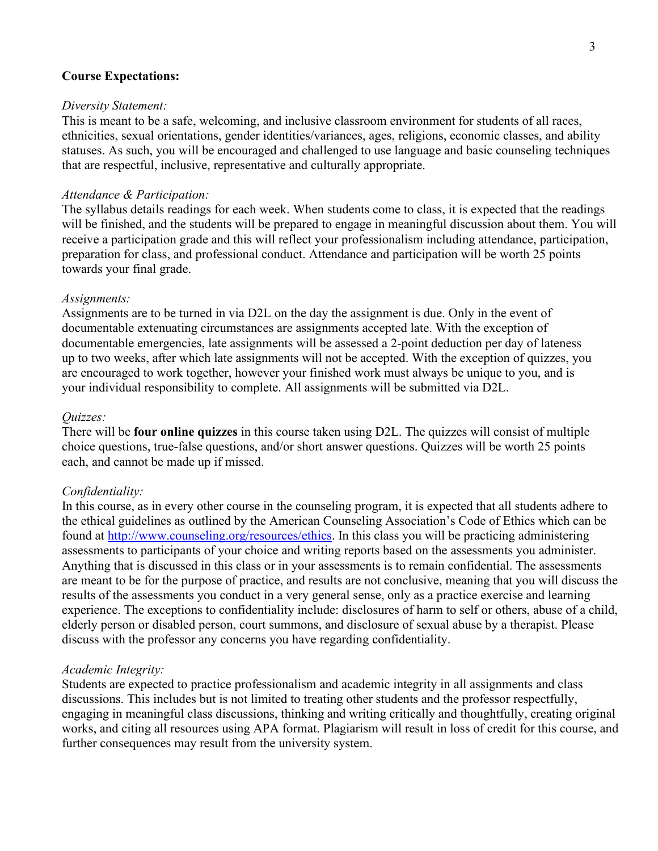### **Course Expectations:**

### *Diversity Statement:*

This is meant to be a safe, welcoming, and inclusive classroom environment for students of all races, ethnicities, sexual orientations, gender identities/variances, ages, religions, economic classes, and ability statuses. As such, you will be encouraged and challenged to use language and basic counseling techniques that are respectful, inclusive, representative and culturally appropriate.

### *Attendance & Participation:*

The syllabus details readings for each week. When students come to class, it is expected that the readings will be finished, and the students will be prepared to engage in meaningful discussion about them. You will receive a participation grade and this will reflect your professionalism including attendance, participation, preparation for class, and professional conduct. Attendance and participation will be worth 25 points towards your final grade.

#### *Assignments:*

Assignments are to be turned in via D2L on the day the assignment is due. Only in the event of documentable extenuating circumstances are assignments accepted late. With the exception of documentable emergencies, late assignments will be assessed a 2-point deduction per day of lateness up to two weeks, after which late assignments will not be accepted. With the exception of quizzes, you are encouraged to work together, however your finished work must always be unique to you, and is your individual responsibility to complete. All assignments will be submitted via D2L.

### *Quizzes:*

There will be **four online quizzes** in this course taken using D2L. The quizzes will consist of multiple choice questions, true-false questions, and/or short answer questions. Quizzes will be worth 25 points each, and cannot be made up if missed.

#### *Confidentiality:*

In this course, as in every other course in the counseling program, it is expected that all students adhere to the ethical guidelines as outlined by the American Counseling Association's Code of Ethics which can be found at [http://www.counseling.org/resources/ethics.](http://www.counseling.org/resources/ethics) In this class you will be practicing administering assessments to participants of your choice and writing reports based on the assessments you administer. Anything that is discussed in this class or in your assessments is to remain confidential. The assessments are meant to be for the purpose of practice, and results are not conclusive, meaning that you will discuss the results of the assessments you conduct in a very general sense, only as a practice exercise and learning experience. The exceptions to confidentiality include: disclosures of harm to self or others, abuse of a child, elderly person or disabled person, court summons, and disclosure of sexual abuse by a therapist. Please discuss with the professor any concerns you have regarding confidentiality.

#### *Academic Integrity:*

Students are expected to practice professionalism and academic integrity in all assignments and class discussions. This includes but is not limited to treating other students and the professor respectfully, engaging in meaningful class discussions, thinking and writing critically and thoughtfully, creating original works, and citing all resources using APA format. Plagiarism will result in loss of credit for this course, and further consequences may result from the university system.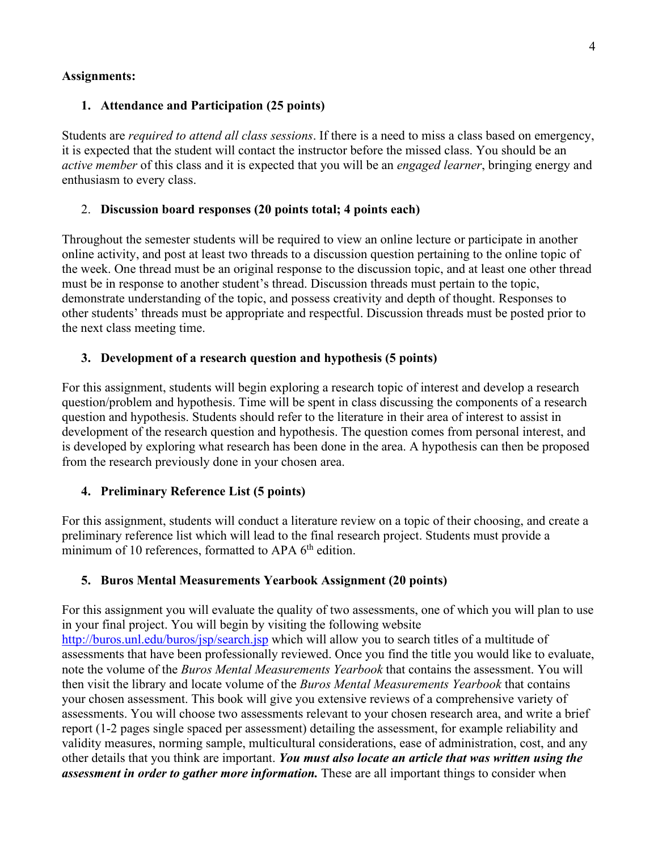### **Assignments:**

## **1. Attendance and Participation (25 points)**

Students are *required to attend all class sessions*. If there is a need to miss a class based on emergency, it is expected that the student will contact the instructor before the missed class. You should be an *active member* of this class and it is expected that you will be an *engaged learner*, bringing energy and enthusiasm to every class.

### 2. **Discussion board responses (20 points total; 4 points each)**

Throughout the semester students will be required to view an online lecture or participate in another online activity, and post at least two threads to a discussion question pertaining to the online topic of the week. One thread must be an original response to the discussion topic, and at least one other thread must be in response to another student's thread. Discussion threads must pertain to the topic, demonstrate understanding of the topic, and possess creativity and depth of thought. Responses to other students' threads must be appropriate and respectful. Discussion threads must be posted prior to the next class meeting time.

### **3. Development of a research question and hypothesis (5 points)**

For this assignment, students will begin exploring a research topic of interest and develop a research question/problem and hypothesis. Time will be spent in class discussing the components of a research question and hypothesis. Students should refer to the literature in their area of interest to assist in development of the research question and hypothesis. The question comes from personal interest, and is developed by exploring what research has been done in the area. A hypothesis can then be proposed from the research previously done in your chosen area.

## **4. Preliminary Reference List (5 points)**

For this assignment, students will conduct a literature review on a topic of their choosing, and create a preliminary reference list which will lead to the final research project. Students must provide a minimum of 10 references, formatted to APA  $6<sup>th</sup>$  edition.

### **5. Buros Mental Measurements Yearbook Assignment (20 points)**

For this assignment you will evaluate the quality of two assessments, one of which you will plan to use in your final project. You will begin by visiting the following website <http://buros.unl.edu/buros/jsp/search.jsp> which will allow you to search titles of a multitude of assessments that have been professionally reviewed. Once you find the title you would like to evaluate, note the volume of the *Buros Mental Measurements Yearbook* that contains the assessment. You will then visit the library and locate volume of the *Buros Mental Measurements Yearbook* that contains your chosen assessment. This book will give you extensive reviews of a comprehensive variety of assessments. You will choose two assessments relevant to your chosen research area, and write a brief report (1-2 pages single spaced per assessment) detailing the assessment, for example reliability and validity measures, norming sample, multicultural considerations, ease of administration, cost, and any other details that you think are important. *You must also locate an article that was written using the assessment in order to gather more information.* These are all important things to consider when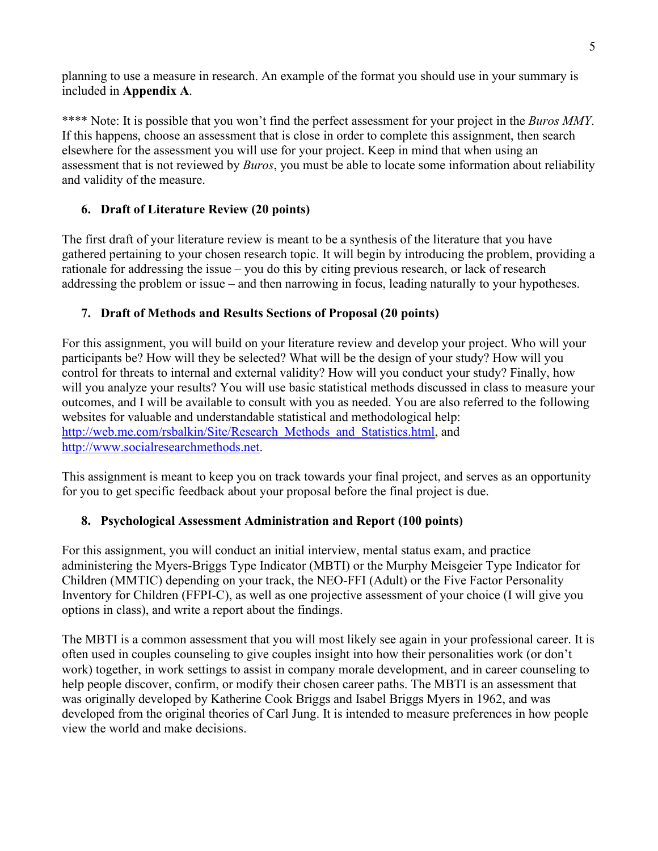planning to use a measure in research. An example of the format you should use in your summary is included in **Appendix A**.

\*\*\*\* Note: It is possible that you won't find the perfect assessment for your project in the *Buros MMY*. If this happens, choose an assessment that is close in order to complete this assignment, then search elsewhere for the assessment you will use for your project. Keep in mind that when using an assessment that is not reviewed by *Buros*, you must be able to locate some information about reliability and validity of the measure.

## **6. Draft of Literature Review (20 points)**

The first draft of your literature review is meant to be a synthesis of the literature that you have gathered pertaining to your chosen research topic. It will begin by introducing the problem, providing a rationale for addressing the issue – you do this by citing previous research, or lack of research addressing the problem or issue – and then narrowing in focus, leading naturally to your hypotheses.

## **7. Draft of Methods and Results Sections of Proposal (20 points)**

For this assignment, you will build on your literature review and develop your project. Who will your participants be? How will they be selected? What will be the design of your study? How will you control for threats to internal and external validity? How will you conduct your study? Finally, how will you analyze your results? You will use basic statistical methods discussed in class to measure your outcomes, and I will be available to consult with you as needed. You are also referred to the following websites for valuable and understandable statistical and methodological help: [http://web.me.com/rsbalkin/Site/Research\\_Methods\\_and\\_Statistics.html,](http://web.me.com/rsbalkin/Site/Research_Methods_and_Statistics.html) and [http://www.socialresearchmethods.net.](http://www.socialresearchmethods.net/)

This assignment is meant to keep you on track towards your final project, and serves as an opportunity for you to get specific feedback about your proposal before the final project is due.

## **8. Psychological Assessment Administration and Report (100 points)**

For this assignment, you will conduct an initial interview, mental status exam, and practice administering the Myers-Briggs Type Indicator (MBTI) or the Murphy Meisgeier Type Indicator for Children (MMTIC) depending on your track, the NEO-FFI (Adult) or the Five Factor Personality Inventory for Children (FFPI-C), as well as one projective assessment of your choice (I will give you options in class), and write a report about the findings.

The MBTI is a common assessment that you will most likely see again in your professional career. It is often used in couples counseling to give couples insight into how their personalities work (or don't work) together, in work settings to assist in company morale development, and in career counseling to help people discover, confirm, or modify their chosen career paths. The MBTI is an assessment that was originally developed by Katherine Cook Briggs and Isabel Briggs Myers in 1962, and was developed from the original theories of Carl Jung. It is intended to measure preferences in how people view the world and make decisions.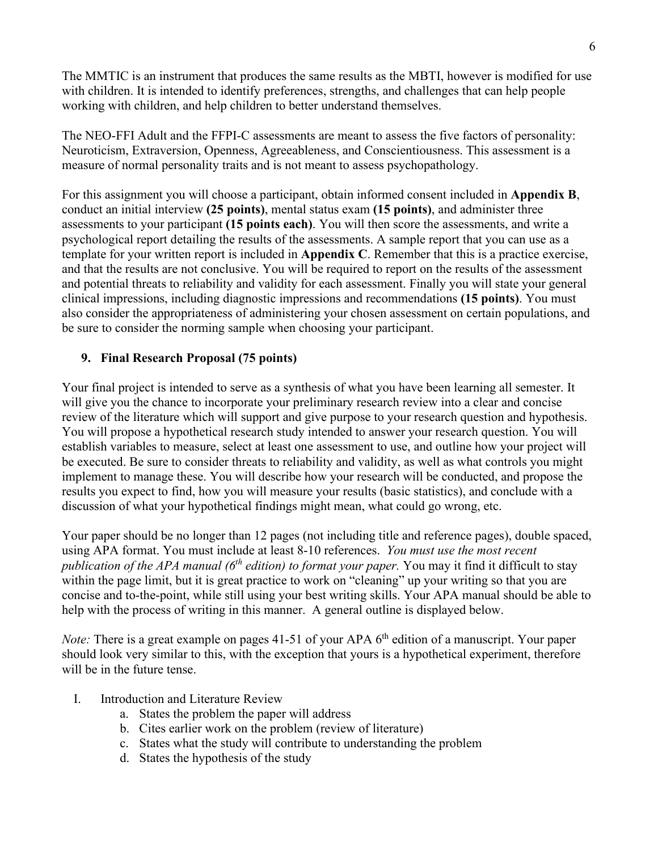The MMTIC is an instrument that produces the same results as the MBTI, however is modified for use with children. It is intended to identify preferences, strengths, and challenges that can help people working with children, and help children to better understand themselves.

The NEO-FFI Adult and the FFPI-C assessments are meant to assess the five factors of personality: Neuroticism, Extraversion, Openness, Agreeableness, and Conscientiousness. This assessment is a measure of normal personality traits and is not meant to assess psychopathology.

For this assignment you will choose a participant, obtain informed consent included in **Appendix B**, conduct an initial interview **(25 points)**, mental status exam **(15 points)**, and administer three assessments to your participant **(15 points each)**. You will then score the assessments, and write a psychological report detailing the results of the assessments. A sample report that you can use as a template for your written report is included in **Appendix C**. Remember that this is a practice exercise, and that the results are not conclusive. You will be required to report on the results of the assessment and potential threats to reliability and validity for each assessment. Finally you will state your general clinical impressions, including diagnostic impressions and recommendations **(15 points)**. You must also consider the appropriateness of administering your chosen assessment on certain populations, and be sure to consider the norming sample when choosing your participant.

## **9. Final Research Proposal (75 points)**

Your final project is intended to serve as a synthesis of what you have been learning all semester. It will give you the chance to incorporate your preliminary research review into a clear and concise review of the literature which will support and give purpose to your research question and hypothesis. You will propose a hypothetical research study intended to answer your research question. You will establish variables to measure, select at least one assessment to use, and outline how your project will be executed. Be sure to consider threats to reliability and validity, as well as what controls you might implement to manage these. You will describe how your research will be conducted, and propose the results you expect to find, how you will measure your results (basic statistics), and conclude with a discussion of what your hypothetical findings might mean, what could go wrong, etc.

Your paper should be no longer than 12 pages (not including title and reference pages), double spaced, using APA format. You must include at least 8-10 references. *You must use the most recent publication of the APA manual (6th edition) to format your paper.* You may it find it difficult to stay within the page limit, but it is great practice to work on "cleaning" up your writing so that you are concise and to-the-point, while still using your best writing skills. Your APA manual should be able to help with the process of writing in this manner. A general outline is displayed below.

*Note:* There is a great example on pages 41-51 of your APA 6<sup>th</sup> edition of a manuscript. Your paper should look very similar to this, with the exception that yours is a hypothetical experiment, therefore will be in the future tense.

- I. Introduction and Literature Review
	- a. States the problem the paper will address
	- b. Cites earlier work on the problem (review of literature)
	- c. States what the study will contribute to understanding the problem
	- d. States the hypothesis of the study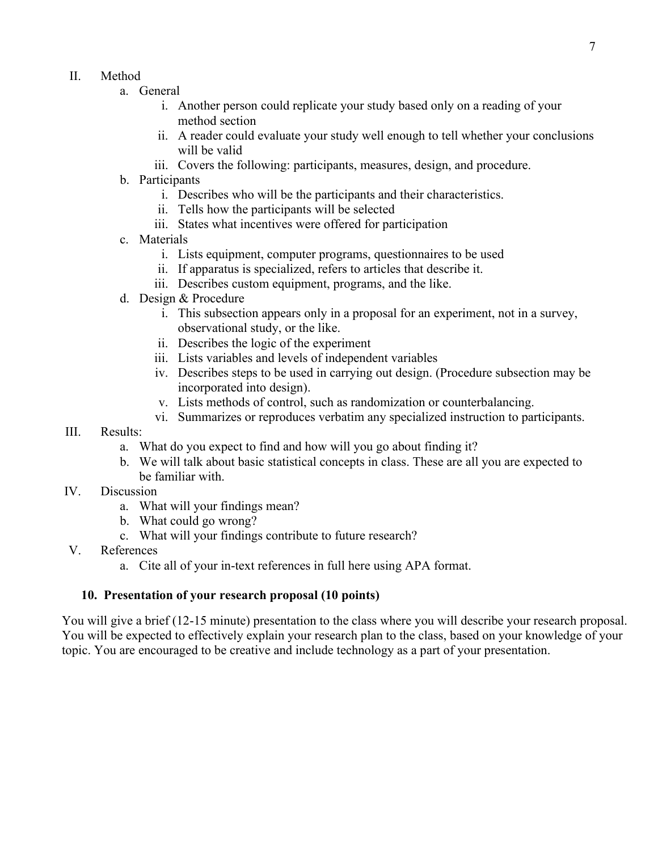- II. Method
	- a. General
		- i. Another person could replicate your study based only on a reading of your method section
		- ii. A reader could evaluate your study well enough to tell whether your conclusions will be valid
		- iii. Covers the following: participants, measures, design, and procedure.
	- b. Participants
		- i. Describes who will be the participants and their characteristics.
		- ii. Tells how the participants will be selected
		- iii. States what incentives were offered for participation
	- c. Materials
		- i. Lists equipment, computer programs, questionnaires to be used
		- ii. If apparatus is specialized, refers to articles that describe it.
		- iii. Describes custom equipment, programs, and the like.
	- d. Design & Procedure
		- i. This subsection appears only in a proposal for an experiment, not in a survey, observational study, or the like.
		- ii. Describes the logic of the experiment
		- iii. Lists variables and levels of independent variables
		- iv. Describes steps to be used in carrying out design. (Procedure subsection may be incorporated into design).
		- v. Lists methods of control, such as randomization or counterbalancing.
		- vi. Summarizes or reproduces verbatim any specialized instruction to participants.
- III. Results:
	- a. What do you expect to find and how will you go about finding it?
	- b. We will talk about basic statistical concepts in class. These are all you are expected to be familiar with.
- IV. Discussion
	- a. What will your findings mean?
	- b. What could go wrong?
	- c. What will your findings contribute to future research?
- V. References
	- a. Cite all of your in-text references in full here using APA format.

## **10. Presentation of your research proposal (10 points)**

You will give a brief (12-15 minute) presentation to the class where you will describe your research proposal. You will be expected to effectively explain your research plan to the class, based on your knowledge of your topic. You are encouraged to be creative and include technology as a part of your presentation.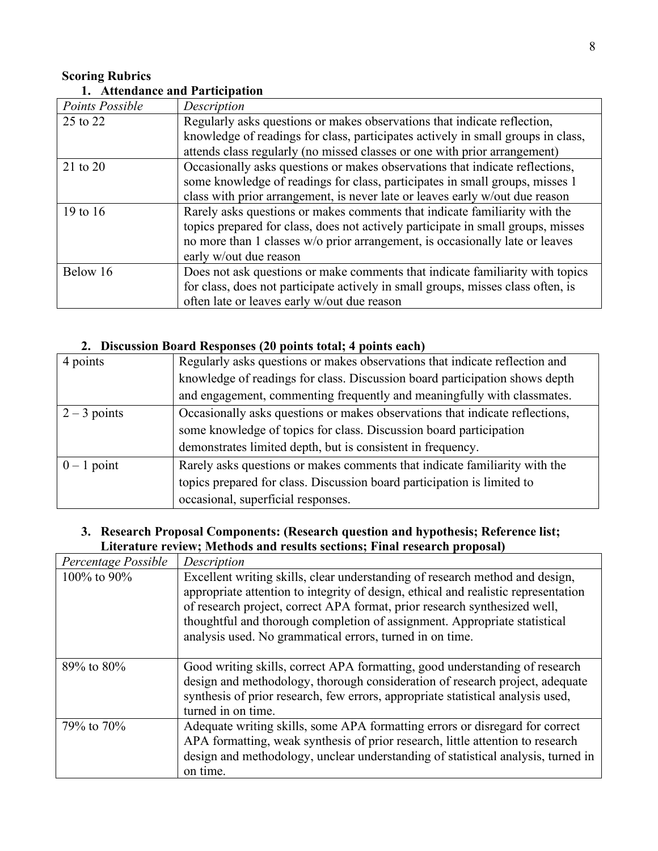## **Scoring Rubrics 1. Attendance and Participation**

| Points Possible | Description                                                                      |  |
|-----------------|----------------------------------------------------------------------------------|--|
| 25 to 22        | Regularly asks questions or makes observations that indicate reflection,         |  |
|                 | knowledge of readings for class, participates actively in small groups in class, |  |
|                 | attends class regularly (no missed classes or one with prior arrangement)        |  |
| 21 to 20        | Occasionally asks questions or makes observations that indicate reflections,     |  |
|                 | some knowledge of readings for class, participates in small groups, misses 1     |  |
|                 | class with prior arrangement, is never late or leaves early w/out due reason     |  |
| 19 to $16$      | Rarely asks questions or makes comments that indicate familiarity with the       |  |
|                 | topics prepared for class, does not actively participate in small groups, misses |  |
|                 | no more than 1 classes w/o prior arrangement, is occasionally late or leaves     |  |
|                 | early w/out due reason                                                           |  |
| Below 16        | Does not ask questions or make comments that indicate familiarity with topics    |  |
|                 | for class, does not participate actively in small groups, misses class often, is |  |
|                 | often late or leaves early w/out due reason                                      |  |

## **2. Discussion Board Responses (20 points total; 4 points each)**

| 4 points       | Regularly asks questions or makes observations that indicate reflection and  |
|----------------|------------------------------------------------------------------------------|
|                | knowledge of readings for class. Discussion board participation shows depth  |
|                | and engagement, commenting frequently and meaningfully with classmates.      |
| $2 - 3$ points | Occasionally asks questions or makes observations that indicate reflections, |
|                | some knowledge of topics for class. Discussion board participation           |
|                | demonstrates limited depth, but is consistent in frequency.                  |
| $0 - 1$ point  | Rarely asks questions or makes comments that indicate familiarity with the   |
|                | topics prepared for class. Discussion board participation is limited to      |
|                | occasional, superficial responses.                                           |

## **3. Research Proposal Components: (Research question and hypothesis; Reference list; Literature review; Methods and results sections; Final research proposal)**

| Percentage Possible | Description                                                                                                                                                                                                                                                                                                                                                                              |
|---------------------|------------------------------------------------------------------------------------------------------------------------------------------------------------------------------------------------------------------------------------------------------------------------------------------------------------------------------------------------------------------------------------------|
| 100\% to 90\%       | Excellent writing skills, clear understanding of research method and design,<br>appropriate attention to integrity of design, ethical and realistic representation<br>of research project, correct APA format, prior research synthesized well,<br>thoughtful and thorough completion of assignment. Appropriate statistical<br>analysis used. No grammatical errors, turned in on time. |
| 89% to 80%          | Good writing skills, correct APA formatting, good understanding of research<br>design and methodology, thorough consideration of research project, adequate<br>synthesis of prior research, few errors, appropriate statistical analysis used,<br>turned in on time.                                                                                                                     |
| 79% to 70%          | Adequate writing skills, some APA formatting errors or disregard for correct<br>APA formatting, weak synthesis of prior research, little attention to research<br>design and methodology, unclear understanding of statistical analysis, turned in<br>on time.                                                                                                                           |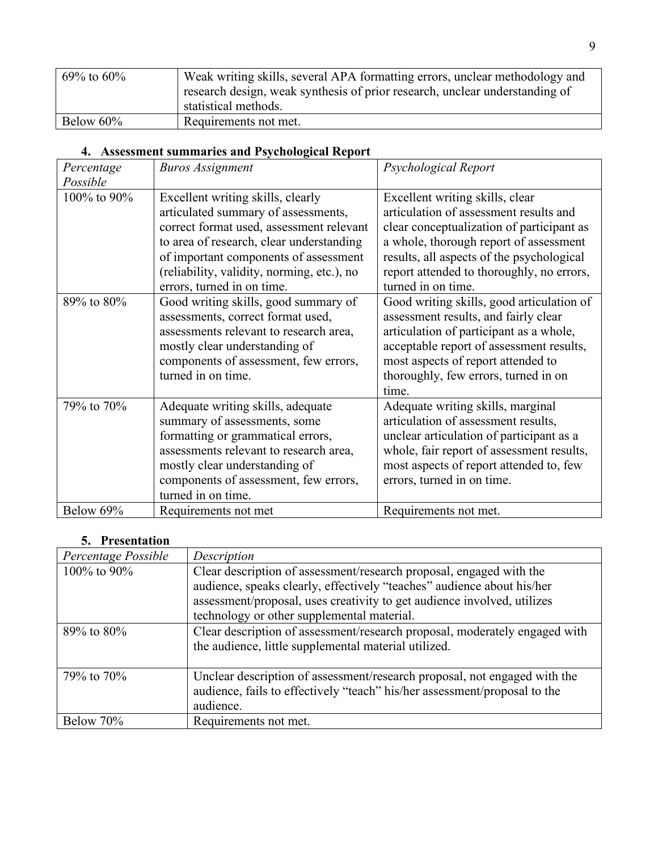| 69% to 60% | Weak writing skills, several APA formatting errors, unclear methodology and |
|------------|-----------------------------------------------------------------------------|
|            | research design, weak synthesis of prior research, unclear understanding of |
|            | statistical methods.                                                        |
| Below 60%  | Requirements not met.                                                       |

## **4. Assessment summaries and Psychological Report**

| Percentage  | <b>Buros Assignment</b>                    | Psychological Report                      |
|-------------|--------------------------------------------|-------------------------------------------|
| Possible    |                                            |                                           |
| 100% to 90% | Excellent writing skills, clearly          | Excellent writing skills, clear           |
|             | articulated summary of assessments,        | articulation of assessment results and    |
|             | correct format used, assessment relevant   | clear conceptualization of participant as |
|             | to area of research, clear understanding   | a whole, thorough report of assessment    |
|             | of important components of assessment      | results, all aspects of the psychological |
|             | (reliability, validity, norming, etc.), no | report attended to thoroughly, no errors, |
|             | errors, turned in on time.                 | turned in on time.                        |
| 89% to 80%  | Good writing skills, good summary of       | Good writing skills, good articulation of |
|             | assessments, correct format used,          | assessment results, and fairly clear      |
|             | assessments relevant to research area,     | articulation of participant as a whole,   |
|             | mostly clear understanding of              | acceptable report of assessment results,  |
|             | components of assessment, few errors,      | most aspects of report attended to        |
|             | turned in on time.                         | thoroughly, few errors, turned in on      |
|             |                                            | time.                                     |
| 79% to 70%  | Adequate writing skills, adequate          | Adequate writing skills, marginal         |
|             | summary of assessments, some               | articulation of assessment results,       |
|             | formatting or grammatical errors,          | unclear articulation of participant as a  |
|             | assessments relevant to research area,     | whole, fair report of assessment results, |
|             | mostly clear understanding of              | most aspects of report attended to, few   |
|             | components of assessment, few errors,      | errors, turned in on time.                |
|             | turned in on time.                         |                                           |
| Below 69%   | Requirements not met                       | Requirements not met.                     |

## **5. Presentation**

| Percentage Possible | Description                                                                                                                                                                                                                                                            |
|---------------------|------------------------------------------------------------------------------------------------------------------------------------------------------------------------------------------------------------------------------------------------------------------------|
| 100\% to 90\%       | Clear description of assessment/research proposal, engaged with the<br>audience, speaks clearly, effectively "teaches" audience about his/her<br>assessment/proposal, uses creativity to get audience involved, utilizes<br>technology or other supplemental material. |
| $89\%$ to $80\%$    | Clear description of assessment/research proposal, moderately engaged with<br>the audience, little supplemental material utilized.                                                                                                                                     |
| 79% to 70%          | Unclear description of assessment/research proposal, not engaged with the<br>audience, fails to effectively "teach" his/her assessment/proposal to the<br>audience.                                                                                                    |
| Below 70%           | Requirements not met.                                                                                                                                                                                                                                                  |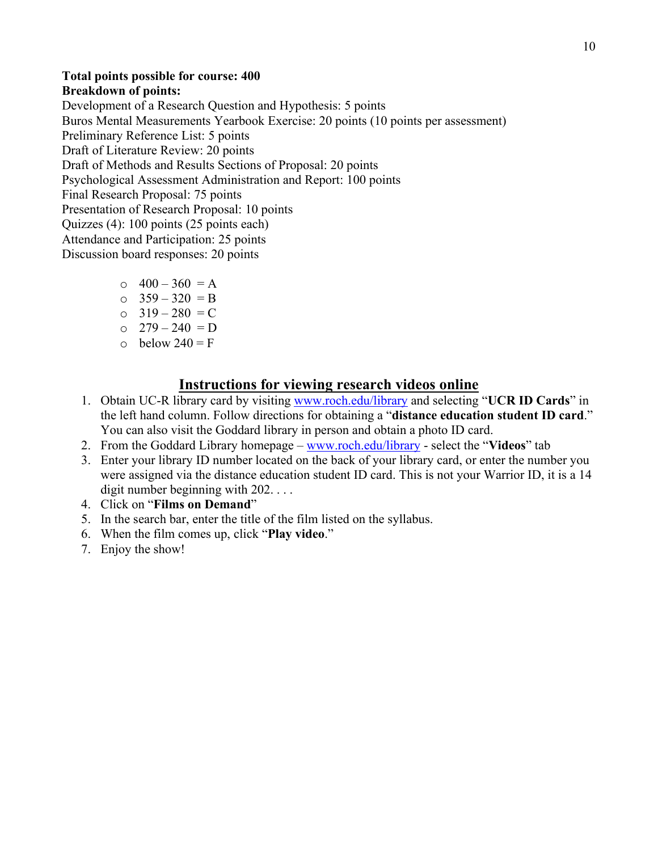## **Total points possible for course: 400 Breakdown of points:**

Development of a Research Question and Hypothesis: 5 points Buros Mental Measurements Yearbook Exercise: 20 points (10 points per assessment) Preliminary Reference List: 5 points Draft of Literature Review: 20 points Draft of Methods and Results Sections of Proposal: 20 points Psychological Assessment Administration and Report: 100 points Final Research Proposal: 75 points Presentation of Research Proposal: 10 points Quizzes (4): 100 points (25 points each) Attendance and Participation: 25 points Discussion board responses: 20 points

- $\circ$  400 360 = A
- $\circ$  359 320 = B
- $0 \quad 319 280 = C$
- $O \quad 279 240 = D$
- $\circ$  below 240 = F

## **Instructions for viewing research videos online**

- 1. Obtain UC-R library card by visiting [www.roch.edu/library](http://www.roch.edu/library) and selecting "**UCR ID Cards**" in the left hand column. Follow directions for obtaining a "**distance education student ID card**." You can also visit the Goddard library in person and obtain a photo ID card.
- 2. From the Goddard Library homepage [www.roch.edu/library](http://www.roch.edu/library) select the "**Videos**" tab
- 3. Enter your library ID number located on the back of your library card, or enter the number you were assigned via the distance education student ID card. This is not your Warrior ID, it is a 14 digit number beginning with 202. . . .
- 4. Click on "**Films on Demand**"
- 5. In the search bar, enter the title of the film listed on the syllabus.
- 6. When the film comes up, click "**Play video**."
- 7. Enjoy the show!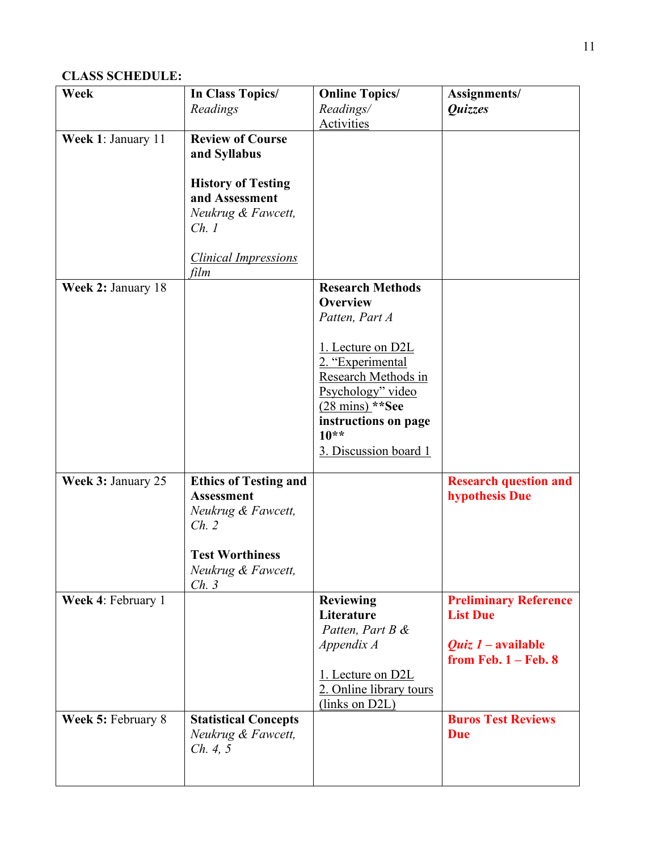## **CLASS SCHEDULE:**

| Week               | In Class Topics/             | <b>Online Topics/</b>     | Assignments/                 |
|--------------------|------------------------------|---------------------------|------------------------------|
|                    | Readings                     | Readings/                 | Quizzes                      |
|                    |                              | <b>Activities</b>         |                              |
| Week 1: January 11 | <b>Review of Course</b>      |                           |                              |
|                    | and Syllabus                 |                           |                              |
|                    |                              |                           |                              |
|                    | <b>History of Testing</b>    |                           |                              |
|                    | and Assessment               |                           |                              |
|                    | Neukrug & Fawcett,           |                           |                              |
|                    | Ch.1                         |                           |                              |
|                    |                              |                           |                              |
|                    | <b>Clinical Impressions</b>  |                           |                              |
|                    | film                         | <b>Research Methods</b>   |                              |
| Week 2: January 18 |                              | <b>Overview</b>           |                              |
|                    |                              | Patten, Part A            |                              |
|                    |                              |                           |                              |
|                    |                              | 1. Lecture on D2L         |                              |
|                    |                              | 2. "Experimental          |                              |
|                    |                              | Research Methods in       |                              |
|                    |                              | Psychology" video         |                              |
|                    |                              | $(28 \text{ mins})$ **See |                              |
|                    |                              | instructions on page      |                              |
|                    |                              | $10**$                    |                              |
|                    |                              | 3. Discussion board 1     |                              |
|                    |                              |                           |                              |
| Week 3: January 25 | <b>Ethics of Testing and</b> |                           | <b>Research question and</b> |
|                    | <b>Assessment</b>            |                           | <b>hypothesis Due</b>        |
|                    | Neukrug & Fawcett,           |                           |                              |
|                    | Ch. 2                        |                           |                              |
|                    |                              |                           |                              |
|                    | <b>Test Worthiness</b>       |                           |                              |
|                    | Neukrug & Fawcett,           |                           |                              |
| Week 4: February 1 | Ch. 3                        | <b>Reviewing</b>          | <b>Preliminary Reference</b> |
|                    |                              | Literature                | <b>List Due</b>              |
|                    |                              | Patten, Part B &          |                              |
|                    |                              | Appendix A                | <i>Quiz 1 –</i> available    |
|                    |                              |                           | from Feb. $1 -$ Feb. 8       |
|                    |                              | 1. Lecture on D2L         |                              |
|                    |                              | 2. Online library tours   |                              |
|                    |                              | (links on D2L)            |                              |
| Week 5: February 8 | <b>Statistical Concepts</b>  |                           | <b>Buros Test Reviews</b>    |
|                    | Neukrug & Fawcett,           |                           | <b>Due</b>                   |
|                    | Ch. 4, 5                     |                           |                              |
|                    |                              |                           |                              |
|                    |                              |                           |                              |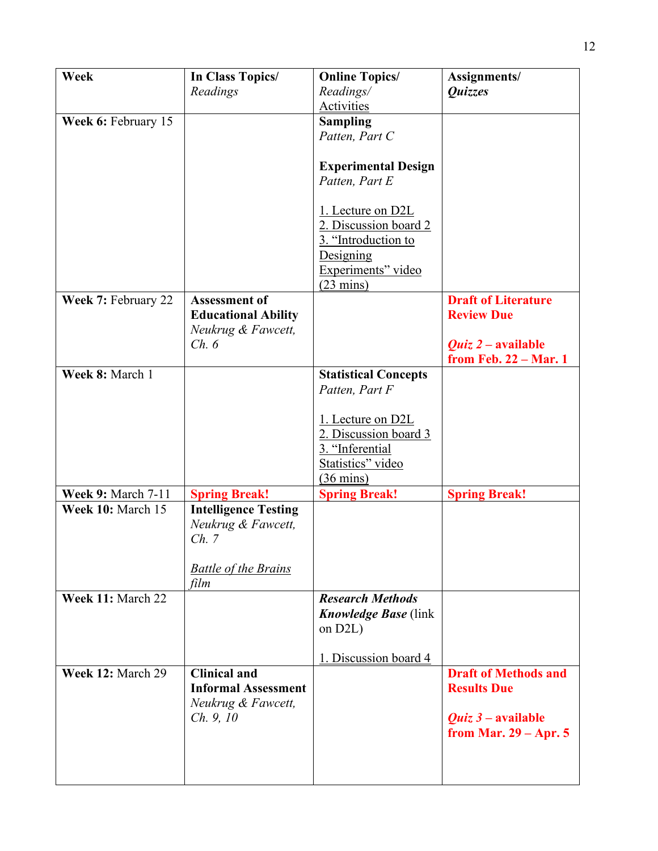| Week                      | In Class Topics/<br>Readings                                                                      | <b>Online Topics/</b><br>Readings/<br>Activities                                                                            | Assignments/<br>Quizzes                                           |
|---------------------------|---------------------------------------------------------------------------------------------------|-----------------------------------------------------------------------------------------------------------------------------|-------------------------------------------------------------------|
| Week 6: February 15       |                                                                                                   | <b>Sampling</b><br>Patten, Part C                                                                                           |                                                                   |
|                           |                                                                                                   | <b>Experimental Design</b><br>Patten, Part E                                                                                |                                                                   |
|                           |                                                                                                   | 1. Lecture on D2L<br>2. Discussion board 2<br>3. "Introduction to<br>Designing<br>Experiments" video<br>$(23 \text{ mins})$ |                                                                   |
| Week 7: February 22       | <b>Assessment of</b>                                                                              |                                                                                                                             | <b>Draft of Literature</b><br><b>Review Due</b>                   |
|                           | <b>Educational Ability</b><br>Neukrug & Fawcett,                                                  |                                                                                                                             |                                                                   |
|                           | Ch. 6                                                                                             |                                                                                                                             | <i>Quiz 2 – available</i><br>from Feb. 22 - Mar. 1                |
| Week 8: March 1           |                                                                                                   | <b>Statistical Concepts</b><br>Patten, Part F                                                                               |                                                                   |
|                           |                                                                                                   | 1. Lecture on D2L<br>2. Discussion board 3<br>3. "Inferential<br>Statistics" video<br>$(36 \text{ mins})$                   |                                                                   |
| <b>Week 9: March 7-11</b> | <b>Spring Break!</b>                                                                              | <b>Spring Break!</b>                                                                                                        | <b>Spring Break!</b>                                              |
| Week 10: March 15         | <b>Intelligence Testing</b><br>Neukrug & Fawcett,<br>Ch. 7<br><b>Battle of the Brains</b><br>film |                                                                                                                             |                                                                   |
| Week 11: March 22         |                                                                                                   | <b>Research Methods</b><br><b>Knowledge Base</b> (link)<br>on $D2L$ )                                                       |                                                                   |
|                           |                                                                                                   | 1. Discussion board 4                                                                                                       |                                                                   |
| Week 12: March 29         | <b>Clinical and</b><br><b>Informal Assessment</b><br>Neukrug & Fawcett,                           |                                                                                                                             | <b>Draft of Methods and</b><br><b>Results Due</b>                 |
|                           | Ch. 9, 10                                                                                         |                                                                                                                             | <i>Quiz <math>3</math> – available</i><br>from Mar. $29 - Apr. 5$ |
|                           |                                                                                                   |                                                                                                                             |                                                                   |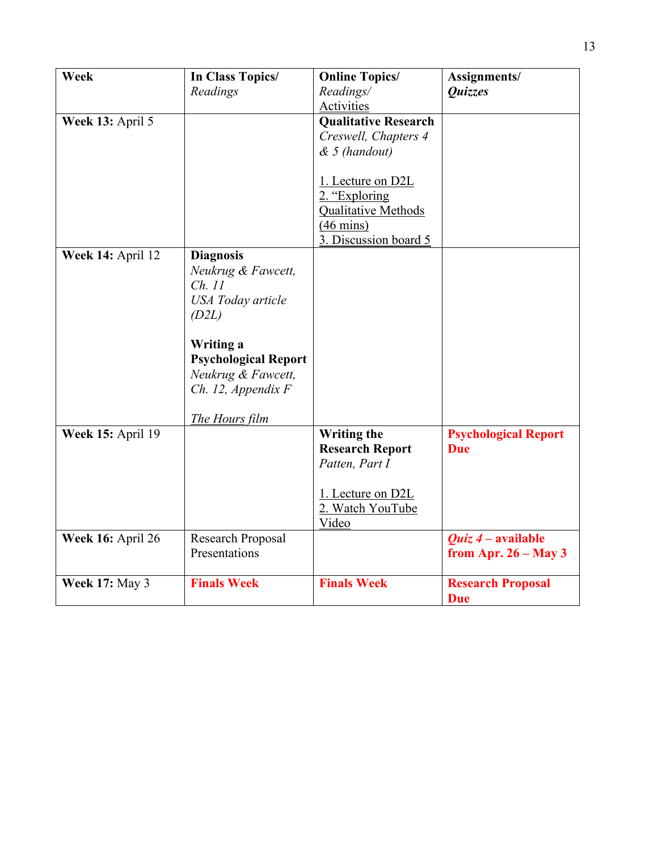| Week                     | In Class Topics/<br>Readings | <b>Online Topics/</b><br>Readings/ | Assignments/<br>Quizzes          |
|--------------------------|------------------------------|------------------------------------|----------------------------------|
|                          |                              | Activities                         |                                  |
| Week 13: April 5         |                              | <b>Qualitative Research</b>        |                                  |
|                          |                              | Creswell, Chapters 4               |                                  |
|                          |                              | $& 5$ (handout)                    |                                  |
|                          |                              |                                    |                                  |
|                          |                              | 1. Lecture on D2L                  |                                  |
|                          |                              | 2. "Exploring                      |                                  |
|                          |                              | <b>Qualitative Methods</b>         |                                  |
|                          |                              | $(46 \text{ mins})$                |                                  |
|                          |                              | 3. Discussion board 5              |                                  |
| Week 14: April 12        | <b>Diagnosis</b>             |                                    |                                  |
|                          | Neukrug & Fawcett,           |                                    |                                  |
|                          | Ch. 11                       |                                    |                                  |
|                          | <b>USA</b> Today article     |                                    |                                  |
|                          | (D2L)                        |                                    |                                  |
|                          |                              |                                    |                                  |
|                          | Writing a                    |                                    |                                  |
|                          | <b>Psychological Report</b>  |                                    |                                  |
|                          | Neukrug & Fawcett,           |                                    |                                  |
|                          | Ch. 12, Appendix F           |                                    |                                  |
|                          |                              |                                    |                                  |
|                          | The Hours film               |                                    |                                  |
| <b>Week 15: April 19</b> |                              | <b>Writing the</b>                 | <b>Psychological Report</b>      |
|                          |                              | <b>Research Report</b>             | <b>Due</b>                       |
|                          |                              | Patten, Part I                     |                                  |
|                          |                              |                                    |                                  |
|                          |                              | 1. Lecture on D2L                  |                                  |
|                          |                              | 2. Watch YouTube                   |                                  |
|                          |                              | Video                              |                                  |
| Week 16: April 26        | Research Proposal            |                                    | <i><b>Quiz 4 – available</b></i> |
|                          | Presentations                |                                    | from Apr. $26 - May 3$           |
|                          |                              |                                    |                                  |
| <b>Week 17: May 3</b>    | <b>Finals Week</b>           | <b>Finals Week</b>                 | <b>Research Proposal</b>         |
|                          |                              |                                    | <b>Due</b>                       |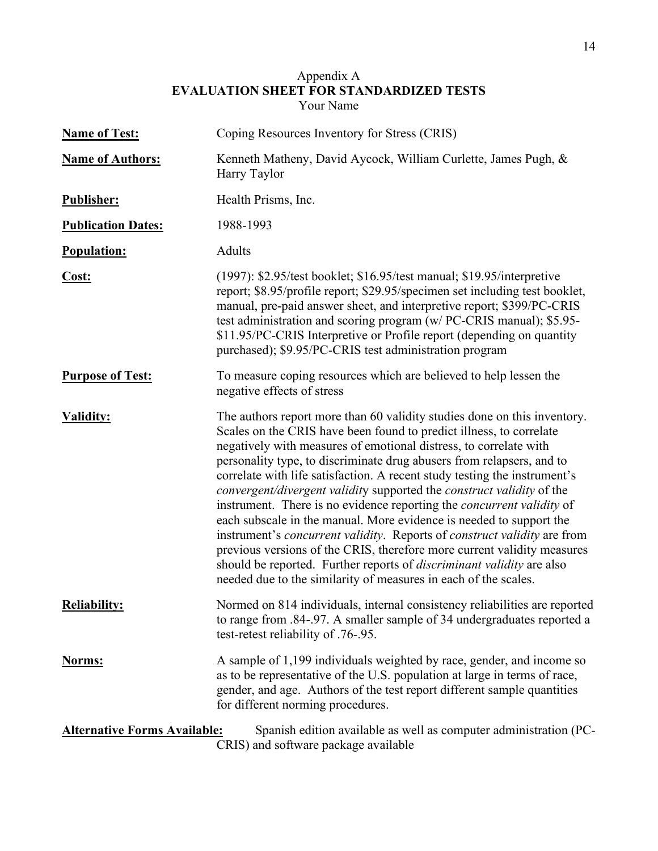### Appendix A **EVALUATION SHEET FOR STANDARDIZED TESTS** Your Name

| <b>Name of Test:</b>                | Coping Resources Inventory for Stress (CRIS)                                                                                                                                                                                                                                                                                                                                                                                                                                                                                                                                                                                                                                                                                                                                                                                                                                                                                        |
|-------------------------------------|-------------------------------------------------------------------------------------------------------------------------------------------------------------------------------------------------------------------------------------------------------------------------------------------------------------------------------------------------------------------------------------------------------------------------------------------------------------------------------------------------------------------------------------------------------------------------------------------------------------------------------------------------------------------------------------------------------------------------------------------------------------------------------------------------------------------------------------------------------------------------------------------------------------------------------------|
| <b>Name of Authors:</b>             | Kenneth Matheny, David Aycock, William Curlette, James Pugh, &<br>Harry Taylor                                                                                                                                                                                                                                                                                                                                                                                                                                                                                                                                                                                                                                                                                                                                                                                                                                                      |
| <b>Publisher:</b>                   | Health Prisms, Inc.                                                                                                                                                                                                                                                                                                                                                                                                                                                                                                                                                                                                                                                                                                                                                                                                                                                                                                                 |
| <b>Publication Dates:</b>           | 1988-1993                                                                                                                                                                                                                                                                                                                                                                                                                                                                                                                                                                                                                                                                                                                                                                                                                                                                                                                           |
| <b>Population:</b>                  | Adults                                                                                                                                                                                                                                                                                                                                                                                                                                                                                                                                                                                                                                                                                                                                                                                                                                                                                                                              |
| Cost:                               | $(1997)$ : \$2.95/test booklet; \$16.95/test manual; \$19.95/interpretive<br>report; \$8.95/profile report; \$29.95/specimen set including test booklet,<br>manual, pre-paid answer sheet, and interpretive report; \$399/PC-CRIS<br>test administration and scoring program (w/ PC-CRIS manual); \$5.95-<br>\$11.95/PC-CRIS Interpretive or Profile report (depending on quantity<br>purchased); \$9.95/PC-CRIS test administration program                                                                                                                                                                                                                                                                                                                                                                                                                                                                                        |
| <b>Purpose of Test:</b>             | To measure coping resources which are believed to help lessen the<br>negative effects of stress                                                                                                                                                                                                                                                                                                                                                                                                                                                                                                                                                                                                                                                                                                                                                                                                                                     |
| <b>Validity:</b>                    | The authors report more than 60 validity studies done on this inventory.<br>Scales on the CRIS have been found to predict illness, to correlate<br>negatively with measures of emotional distress, to correlate with<br>personality type, to discriminate drug abusers from relapsers, and to<br>correlate with life satisfaction. A recent study testing the instrument's<br>convergent/divergent validity supported the construct validity of the<br>instrument. There is no evidence reporting the <i>concurrent validity</i> of<br>each subscale in the manual. More evidence is needed to support the<br>instrument's <i>concurrent validity</i> . Reports of <i>construct validity</i> are from<br>previous versions of the CRIS, therefore more current validity measures<br>should be reported. Further reports of <i>discriminant validity</i> are also<br>needed due to the similarity of measures in each of the scales. |
| <b>Reliability:</b>                 | Normed on 814 individuals, internal consistency reliabilities are reported<br>to range from .84-.97. A smaller sample of 34 undergraduates reported a<br>test-retest reliability of .76-.95.                                                                                                                                                                                                                                                                                                                                                                                                                                                                                                                                                                                                                                                                                                                                        |
| <b>Norms:</b>                       | A sample of 1,199 individuals weighted by race, gender, and income so<br>as to be representative of the U.S. population at large in terms of race,<br>gender, and age. Authors of the test report different sample quantities<br>for different norming procedures.                                                                                                                                                                                                                                                                                                                                                                                                                                                                                                                                                                                                                                                                  |
| <b>Alternative Forms Available:</b> | Spanish edition available as well as computer administration (PC-<br>CRIS) and software package available                                                                                                                                                                                                                                                                                                                                                                                                                                                                                                                                                                                                                                                                                                                                                                                                                           |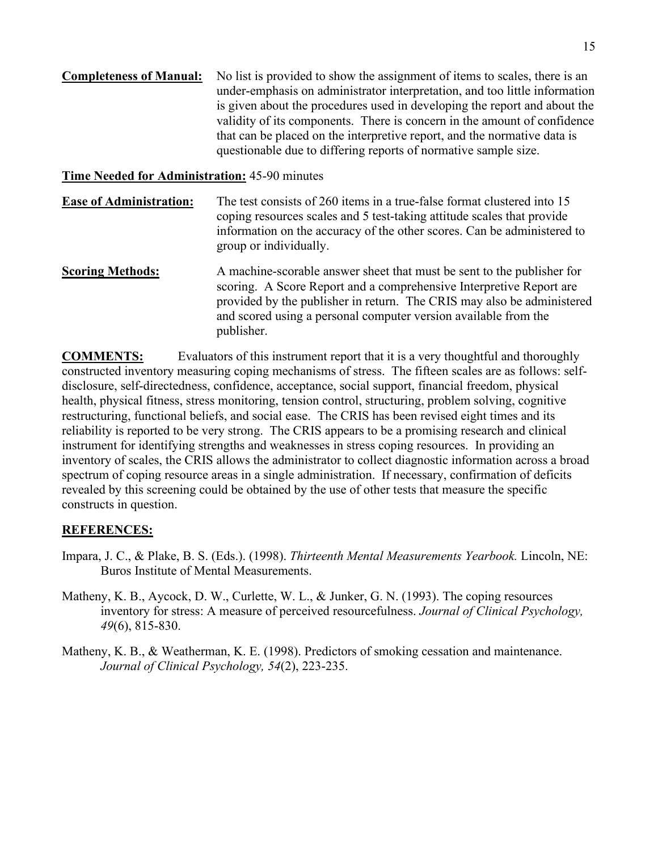| <b>Completeness of Manual:</b> | No list is provided to show the assignment of items to scales, there is an |
|--------------------------------|----------------------------------------------------------------------------|
|                                | under-emphasis on administrator interpretation, and too little information |
|                                | is given about the procedures used in developing the report and about the  |
|                                | validity of its components. There is concern in the amount of confidence   |
|                                | that can be placed on the interpretive report, and the normative data is   |
|                                | questionable due to differing reports of normative sample size.            |

## **Time Needed for Administration:** 45-90 minutes

- **Ease of Administration:** The test consists of 260 items in a true-false format clustered into 15 coping resources scales and 5 test-taking attitude scales that provide information on the accuracy of the other scores. Can be administered to group or individually.
- **Scoring Methods:** A machine-scorable answer sheet that must be sent to the publisher for scoring. A Score Report and a comprehensive Interpretive Report are provided by the publisher in return. The CRIS may also be administered and scored using a personal computer version available from the publisher.

**COMMENTS:** Evaluators of this instrument report that it is a very thoughtful and thoroughly constructed inventory measuring coping mechanisms of stress. The fifteen scales are as follows: selfdisclosure, self-directedness, confidence, acceptance, social support, financial freedom, physical health, physical fitness, stress monitoring, tension control, structuring, problem solving, cognitive restructuring, functional beliefs, and social ease. The CRIS has been revised eight times and its reliability is reported to be very strong. The CRIS appears to be a promising research and clinical instrument for identifying strengths and weaknesses in stress coping resources. In providing an inventory of scales, the CRIS allows the administrator to collect diagnostic information across a broad spectrum of coping resource areas in a single administration. If necessary, confirmation of deficits revealed by this screening could be obtained by the use of other tests that measure the specific constructs in question.

## **REFERENCES:**

- Impara, J. C., & Plake, B. S. (Eds.). (1998). *Thirteenth Mental Measurements Yearbook.* Lincoln, NE: Buros Institute of Mental Measurements.
- Matheny, K. B., Aycock, D. W., Curlette, W. L., & Junker, G. N. (1993). The coping resources inventory for stress: A measure of perceived resourcefulness. *Journal of Clinical Psychology, 49*(6), 815-830.
- Matheny, K. B., & Weatherman, K. E. (1998). Predictors of smoking cessation and maintenance. *Journal of Clinical Psychology, 54*(2), 223-235.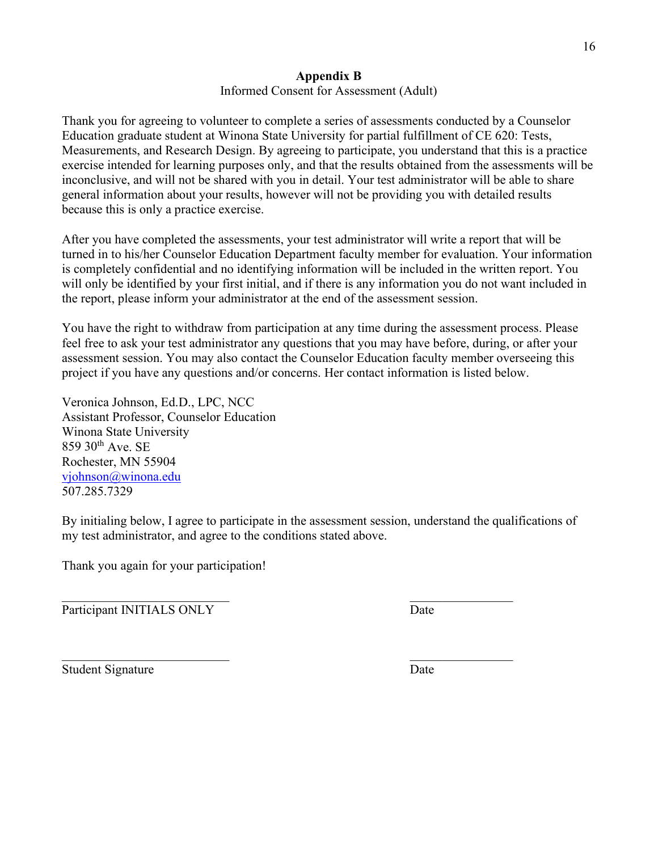## **Appendix B**

Informed Consent for Assessment (Adult)

Thank you for agreeing to volunteer to complete a series of assessments conducted by a Counselor Education graduate student at Winona State University for partial fulfillment of CE 620: Tests, Measurements, and Research Design. By agreeing to participate, you understand that this is a practice exercise intended for learning purposes only, and that the results obtained from the assessments will be inconclusive, and will not be shared with you in detail. Your test administrator will be able to share general information about your results, however will not be providing you with detailed results because this is only a practice exercise.

After you have completed the assessments, your test administrator will write a report that will be turned in to his/her Counselor Education Department faculty member for evaluation. Your information is completely confidential and no identifying information will be included in the written report. You will only be identified by your first initial, and if there is any information you do not want included in the report, please inform your administrator at the end of the assessment session.

You have the right to withdraw from participation at any time during the assessment process. Please feel free to ask your test administrator any questions that you may have before, during, or after your assessment session. You may also contact the Counselor Education faculty member overseeing this project if you have any questions and/or concerns. Her contact information is listed below.

Veronica Johnson, Ed.D., LPC, NCC Assistant Professor, Counselor Education Winona State University  $859$  30<sup>th</sup> Ave. SE Rochester, MN 55904 [vjohnson@winona.edu](mailto:vjohnson@winona.edu) 507.285.7329

By initialing below, I agree to participate in the assessment session, understand the qualifications of my test administrator, and agree to the conditions stated above.

 $\mathcal{L}_\mathcal{L} = \mathcal{L}_\mathcal{L} = \mathcal{L}_\mathcal{L} = \mathcal{L}_\mathcal{L} = \mathcal{L}_\mathcal{L} = \mathcal{L}_\mathcal{L} = \mathcal{L}_\mathcal{L} = \mathcal{L}_\mathcal{L} = \mathcal{L}_\mathcal{L} = \mathcal{L}_\mathcal{L} = \mathcal{L}_\mathcal{L} = \mathcal{L}_\mathcal{L} = \mathcal{L}_\mathcal{L} = \mathcal{L}_\mathcal{L} = \mathcal{L}_\mathcal{L} = \mathcal{L}_\mathcal{L} = \mathcal{L}_\mathcal{L}$ 

Thank you again for your participation!

Participant INITIALS ONLY Date

Student Signature Date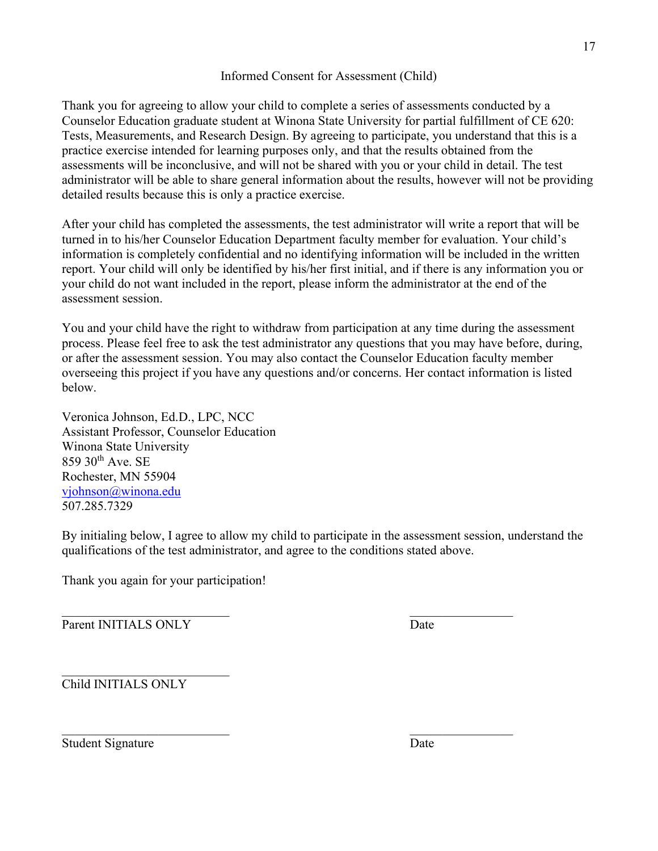### Informed Consent for Assessment (Child)

Thank you for agreeing to allow your child to complete a series of assessments conducted by a Counselor Education graduate student at Winona State University for partial fulfillment of CE 620: Tests, Measurements, and Research Design. By agreeing to participate, you understand that this is a practice exercise intended for learning purposes only, and that the results obtained from the assessments will be inconclusive, and will not be shared with you or your child in detail. The test administrator will be able to share general information about the results, however will not be providing detailed results because this is only a practice exercise.

After your child has completed the assessments, the test administrator will write a report that will be turned in to his/her Counselor Education Department faculty member for evaluation. Your child's information is completely confidential and no identifying information will be included in the written report. Your child will only be identified by his/her first initial, and if there is any information you or your child do not want included in the report, please inform the administrator at the end of the assessment session.

You and your child have the right to withdraw from participation at any time during the assessment process. Please feel free to ask the test administrator any questions that you may have before, during, or after the assessment session. You may also contact the Counselor Education faculty member overseeing this project if you have any questions and/or concerns. Her contact information is listed below.

Veronica Johnson, Ed.D., LPC, NCC Assistant Professor, Counselor Education Winona State University 859 30th Ave. SE Rochester, MN 55904 [vjohnson@winona.edu](mailto:vjohnson@winona.edu) 507.285.7329

By initialing below, I agree to allow my child to participate in the assessment session, understand the qualifications of the test administrator, and agree to the conditions stated above.

 $\mathcal{L}_\mathcal{L} = \mathcal{L}_\mathcal{L} = \mathcal{L}_\mathcal{L} = \mathcal{L}_\mathcal{L} = \mathcal{L}_\mathcal{L} = \mathcal{L}_\mathcal{L} = \mathcal{L}_\mathcal{L} = \mathcal{L}_\mathcal{L} = \mathcal{L}_\mathcal{L} = \mathcal{L}_\mathcal{L} = \mathcal{L}_\mathcal{L} = \mathcal{L}_\mathcal{L} = \mathcal{L}_\mathcal{L} = \mathcal{L}_\mathcal{L} = \mathcal{L}_\mathcal{L} = \mathcal{L}_\mathcal{L} = \mathcal{L}_\mathcal{L}$ 

Thank you again for your participation!

 $\overline{\phantom{a}}$  , and the contract of the contract of the contract of the contract of the contract of the contract of the contract of the contract of the contract of the contract of the contract of the contract of the contrac Parent INITIALS ONLY Date

Child INITIALS ONLY

Student Signature Date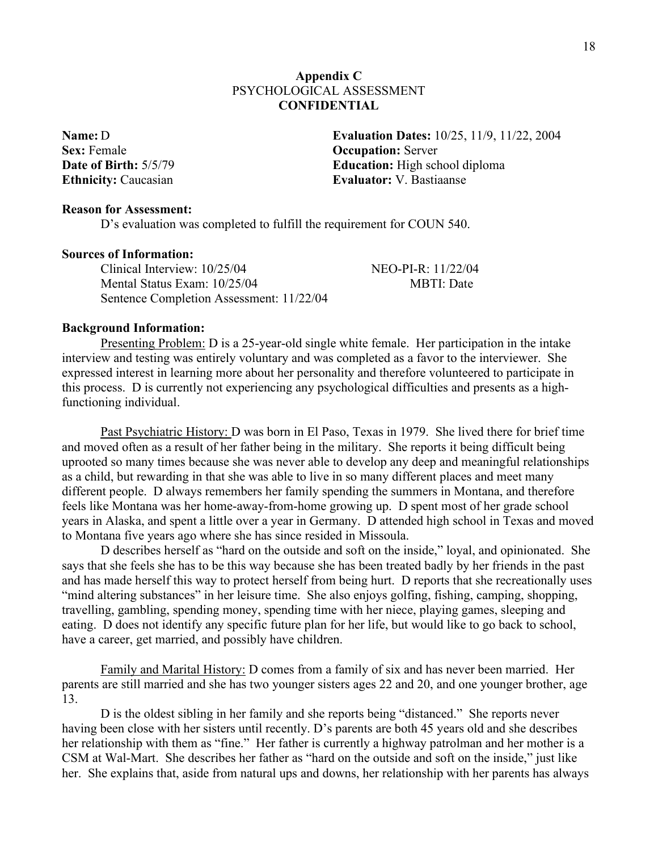## **Appendix C** PSYCHOLOGICAL ASSESSMENT **CONFIDENTIAL**

**Sex:** Female **Occupation:** Server

**Name:** D **Evaluation Dates:** 10/25, 11/9, 11/22, 2004 **Date of Birth:**  $5/5/79$  **Education:** High school diploma **Ethnicity:** Caucasian **Evaluator:** V. Bastiaanse

### **Reason for Assessment:**

D's evaluation was completed to fulfill the requirement for COUN 540.

### **Sources of Information:**

Clinical Interview: 10/25/04 NEO-PI-R: 11/22/04 Mental Status Exam:  $10/25/04$  MBTI: Date Sentence Completion Assessment: 11/22/04

### **Background Information:**

Presenting Problem: D is a 25-year-old single white female. Her participation in the intake interview and testing was entirely voluntary and was completed as a favor to the interviewer. She expressed interest in learning more about her personality and therefore volunteered to participate in this process. D is currently not experiencing any psychological difficulties and presents as a highfunctioning individual.

Past Psychiatric History: D was born in El Paso, Texas in 1979. She lived there for brief time and moved often as a result of her father being in the military. She reports it being difficult being uprooted so many times because she was never able to develop any deep and meaningful relationships as a child, but rewarding in that she was able to live in so many different places and meet many different people. D always remembers her family spending the summers in Montana, and therefore feels like Montana was her home-away-from-home growing up. D spent most of her grade school years in Alaska, and spent a little over a year in Germany. D attended high school in Texas and moved to Montana five years ago where she has since resided in Missoula.

D describes herself as "hard on the outside and soft on the inside," loyal, and opinionated. She says that she feels she has to be this way because she has been treated badly by her friends in the past and has made herself this way to protect herself from being hurt. D reports that she recreationally uses "mind altering substances" in her leisure time. She also enjoys golfing, fishing, camping, shopping, travelling, gambling, spending money, spending time with her niece, playing games, sleeping and eating. D does not identify any specific future plan for her life, but would like to go back to school, have a career, get married, and possibly have children.

Family and Marital History: D comes from a family of six and has never been married. Her parents are still married and she has two younger sisters ages 22 and 20, and one younger brother, age 13.

D is the oldest sibling in her family and she reports being "distanced." She reports never having been close with her sisters until recently. D's parents are both 45 years old and she describes her relationship with them as "fine." Her father is currently a highway patrolman and her mother is a CSM at Wal-Mart. She describes her father as "hard on the outside and soft on the inside," just like her. She explains that, aside from natural ups and downs, her relationship with her parents has always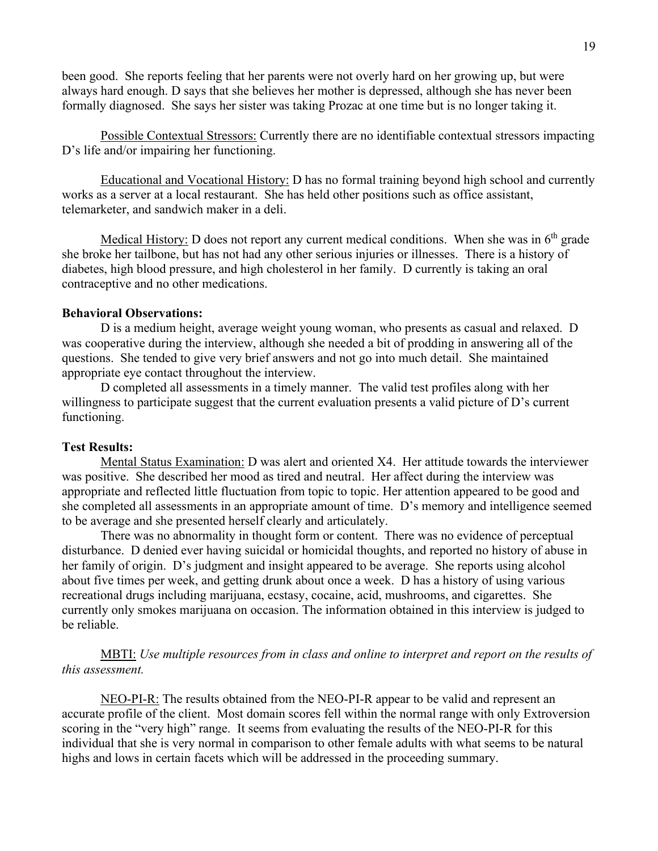been good. She reports feeling that her parents were not overly hard on her growing up, but were always hard enough. D says that she believes her mother is depressed, although she has never been formally diagnosed. She says her sister was taking Prozac at one time but is no longer taking it.

Possible Contextual Stressors: Currently there are no identifiable contextual stressors impacting D's life and/or impairing her functioning.

Educational and Vocational History: D has no formal training beyond high school and currently works as a server at a local restaurant. She has held other positions such as office assistant, telemarketer, and sandwich maker in a deli.

Medical History: D does not report any current medical conditions. When she was in  $6<sup>th</sup>$  grade she broke her tailbone, but has not had any other serious injuries or illnesses. There is a history of diabetes, high blood pressure, and high cholesterol in her family. D currently is taking an oral contraceptive and no other medications.

## **Behavioral Observations:**

D is a medium height, average weight young woman, who presents as casual and relaxed. D was cooperative during the interview, although she needed a bit of prodding in answering all of the questions. She tended to give very brief answers and not go into much detail. She maintained appropriate eye contact throughout the interview.

D completed all assessments in a timely manner. The valid test profiles along with her willingness to participate suggest that the current evaluation presents a valid picture of D's current functioning.

### **Test Results:**

Mental Status Examination: D was alert and oriented X4. Her attitude towards the interviewer was positive. She described her mood as tired and neutral. Her affect during the interview was appropriate and reflected little fluctuation from topic to topic. Her attention appeared to be good and she completed all assessments in an appropriate amount of time. D's memory and intelligence seemed to be average and she presented herself clearly and articulately.

There was no abnormality in thought form or content. There was no evidence of perceptual disturbance. D denied ever having suicidal or homicidal thoughts, and reported no history of abuse in her family of origin. D's judgment and insight appeared to be average. She reports using alcohol about five times per week, and getting drunk about once a week. D has a history of using various recreational drugs including marijuana, ecstasy, cocaine, acid, mushrooms, and cigarettes. She currently only smokes marijuana on occasion. The information obtained in this interview is judged to be reliable.

MBTI: *Use multiple resources from in class and online to interpret and report on the results of this assessment.* 

NEO-PI-R: The results obtained from the NEO-PI-R appear to be valid and represent an accurate profile of the client. Most domain scores fell within the normal range with only Extroversion scoring in the "very high" range. It seems from evaluating the results of the NEO-PI-R for this individual that she is very normal in comparison to other female adults with what seems to be natural highs and lows in certain facets which will be addressed in the proceeding summary.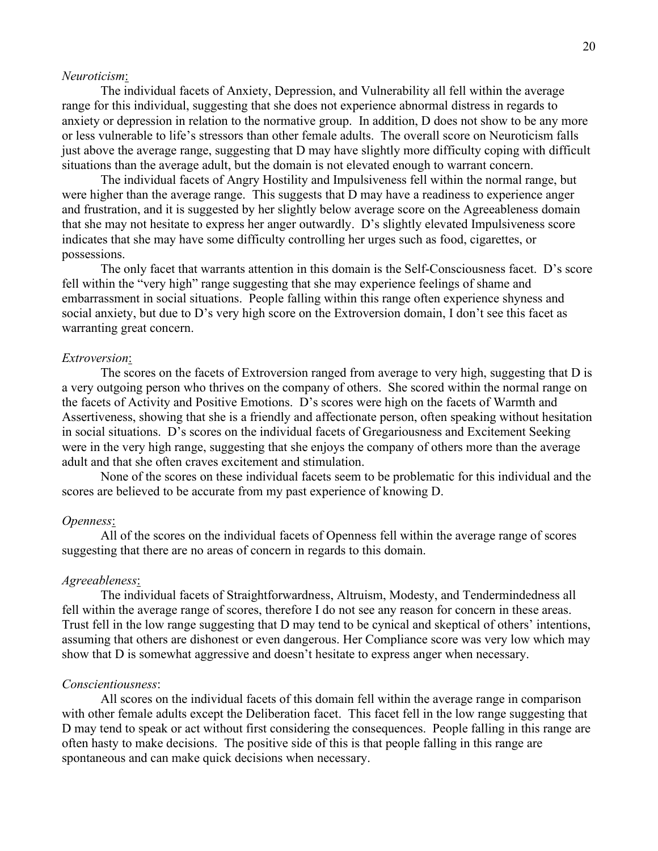### *Neuroticism*:

The individual facets of Anxiety, Depression, and Vulnerability all fell within the average range for this individual, suggesting that she does not experience abnormal distress in regards to anxiety or depression in relation to the normative group. In addition, D does not show to be any more or less vulnerable to life's stressors than other female adults. The overall score on Neuroticism falls just above the average range, suggesting that D may have slightly more difficulty coping with difficult situations than the average adult, but the domain is not elevated enough to warrant concern.

The individual facets of Angry Hostility and Impulsiveness fell within the normal range, but were higher than the average range. This suggests that D may have a readiness to experience anger and frustration, and it is suggested by her slightly below average score on the Agreeableness domain that she may not hesitate to express her anger outwardly. D's slightly elevated Impulsiveness score indicates that she may have some difficulty controlling her urges such as food, cigarettes, or possessions.

The only facet that warrants attention in this domain is the Self-Consciousness facet. D's score fell within the "very high" range suggesting that she may experience feelings of shame and embarrassment in social situations. People falling within this range often experience shyness and social anxiety, but due to D's very high score on the Extroversion domain, I don't see this facet as warranting great concern.

#### *Extroversion*:

The scores on the facets of Extroversion ranged from average to very high, suggesting that D is a very outgoing person who thrives on the company of others. She scored within the normal range on the facets of Activity and Positive Emotions. D's scores were high on the facets of Warmth and Assertiveness, showing that she is a friendly and affectionate person, often speaking without hesitation in social situations. D's scores on the individual facets of Gregariousness and Excitement Seeking were in the very high range, suggesting that she enjoys the company of others more than the average adult and that she often craves excitement and stimulation.

None of the scores on these individual facets seem to be problematic for this individual and the scores are believed to be accurate from my past experience of knowing D.

#### *Openness*:

All of the scores on the individual facets of Openness fell within the average range of scores suggesting that there are no areas of concern in regards to this domain.

### *Agreeableness*:

The individual facets of Straightforwardness, Altruism, Modesty, and Tendermindedness all fell within the average range of scores, therefore I do not see any reason for concern in these areas. Trust fell in the low range suggesting that D may tend to be cynical and skeptical of others' intentions, assuming that others are dishonest or even dangerous. Her Compliance score was very low which may show that D is somewhat aggressive and doesn't hesitate to express anger when necessary.

#### *Conscientiousness*:

All scores on the individual facets of this domain fell within the average range in comparison with other female adults except the Deliberation facet. This facet fell in the low range suggesting that D may tend to speak or act without first considering the consequences. People falling in this range are often hasty to make decisions. The positive side of this is that people falling in this range are spontaneous and can make quick decisions when necessary.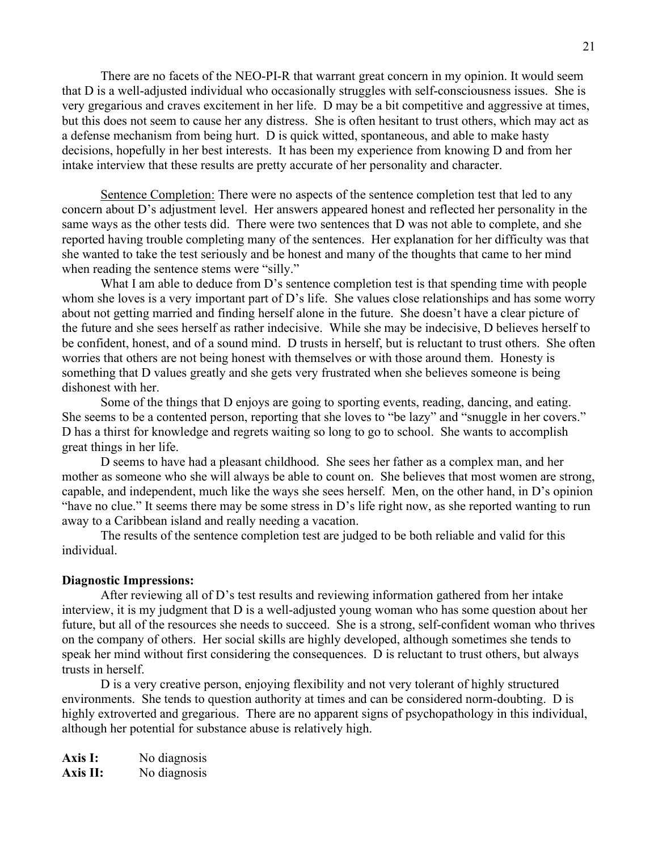There are no facets of the NEO-PI-R that warrant great concern in my opinion. It would seem that D is a well-adjusted individual who occasionally struggles with self-consciousness issues. She is very gregarious and craves excitement in her life. D may be a bit competitive and aggressive at times, but this does not seem to cause her any distress. She is often hesitant to trust others, which may act as a defense mechanism from being hurt. D is quick witted, spontaneous, and able to make hasty decisions, hopefully in her best interests. It has been my experience from knowing D and from her intake interview that these results are pretty accurate of her personality and character.

Sentence Completion: There were no aspects of the sentence completion test that led to any concern about D's adjustment level. Her answers appeared honest and reflected her personality in the same ways as the other tests did. There were two sentences that D was not able to complete, and she reported having trouble completing many of the sentences. Her explanation for her difficulty was that she wanted to take the test seriously and be honest and many of the thoughts that came to her mind when reading the sentence stems were "silly."

What I am able to deduce from D's sentence completion test is that spending time with people whom she loves is a very important part of D's life. She values close relationships and has some worry about not getting married and finding herself alone in the future. She doesn't have a clear picture of the future and she sees herself as rather indecisive. While she may be indecisive, D believes herself to be confident, honest, and of a sound mind. D trusts in herself, but is reluctant to trust others. She often worries that others are not being honest with themselves or with those around them. Honesty is something that D values greatly and she gets very frustrated when she believes someone is being dishonest with her.

Some of the things that D enjoys are going to sporting events, reading, dancing, and eating. She seems to be a contented person, reporting that she loves to "be lazy" and "snuggle in her covers." D has a thirst for knowledge and regrets waiting so long to go to school. She wants to accomplish great things in her life.

D seems to have had a pleasant childhood. She sees her father as a complex man, and her mother as someone who she will always be able to count on. She believes that most women are strong, capable, and independent, much like the ways she sees herself. Men, on the other hand, in D's opinion "have no clue." It seems there may be some stress in D's life right now, as she reported wanting to run away to a Caribbean island and really needing a vacation.

The results of the sentence completion test are judged to be both reliable and valid for this individual.

### **Diagnostic Impressions:**

After reviewing all of D's test results and reviewing information gathered from her intake interview, it is my judgment that D is a well-adjusted young woman who has some question about her future, but all of the resources she needs to succeed. She is a strong, self-confident woman who thrives on the company of others. Her social skills are highly developed, although sometimes she tends to speak her mind without first considering the consequences. D is reluctant to trust others, but always trusts in herself.

D is a very creative person, enjoying flexibility and not very tolerant of highly structured environments. She tends to question authority at times and can be considered norm-doubting. D is highly extroverted and gregarious. There are no apparent signs of psychopathology in this individual, although her potential for substance abuse is relatively high.

**Axis I:** No diagnosis **Axis II:** No diagnosis